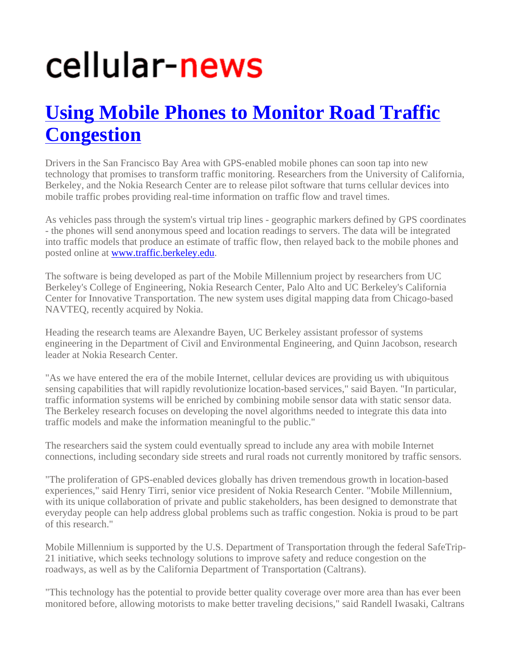## cellular-news

## **Using Mobile Phones to Monitor Road Traffic Congestion**

Drivers in the San Francisco Bay Area with GPS-enabled mobile phones can soon tap into new technology that promises to transform traffic monitoring. Researchers from the University of California, Berkeley, and the Nokia Research Center are to release pilot software that turns cellular devices into mobile traffic probes providing real-time information on traffic flow and travel times.

As vehicles pass through the system's virtual trip lines - geographic markers defined by GPS coordinates - the phones will send anonymous speed and location readings to servers. The data will be integrated into traffic models that produce an estimate of traffic flow, then relayed back to the mobile phones and posted online at www.traffic.berkeley.edu.

The software is being developed as part of the Mobile Millennium project by researchers from UC Berkeley's College of Engineering, Nokia Research Center, Palo Alto and UC Berkeley's California Center for Innovative Transportation. The new system uses digital mapping data from Chicago-based NAVTEQ, recently acquired by Nokia.

Heading the research teams are Alexandre Bayen, UC Berkeley assistant professor of systems engineering in the Department of Civil and Environmental Engineering, and Quinn Jacobson, research leader at Nokia Research Center.

"As we have entered the era of the mobile Internet, cellular devices are providing us with ubiquitous sensing capabilities that will rapidly revolutionize location-based services," said Bayen. "In particular, traffic information systems will be enriched by combining mobile sensor data with static sensor data. The Berkeley research focuses on developing the novel algorithms needed to integrate this data into traffic models and make the information meaningful to the public."

The researchers said the system could eventually spread to include any area with mobile Internet connections, including secondary side streets and rural roads not currently monitored by traffic sensors.

"The proliferation of GPS-enabled devices globally has driven tremendous growth in location-based experiences," said Henry Tirri, senior vice president of Nokia Research Center. "Mobile Millennium, with its unique collaboration of private and public stakeholders, has been designed to demonstrate that everyday people can help address global problems such as traffic congestion. Nokia is proud to be part of this research."

Mobile Millennium is supported by the U.S. Department of Transportation through the federal SafeTrip-21 initiative, which seeks technology solutions to improve safety and reduce congestion on the roadways, as well as by the California Department of Transportation (Caltrans).

"This technology has the potential to provide better quality coverage over more area than has ever been monitored before, allowing motorists to make better traveling decisions," said Randell Iwasaki, Caltrans